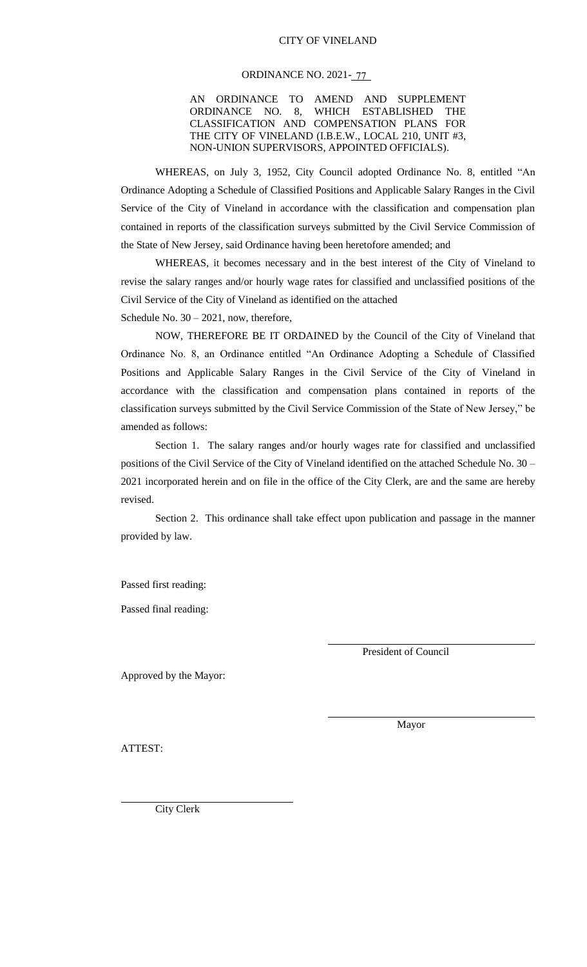#### CITY OF VINELAND

### ORDINANCE NO. 2021-<u>-77</u>

AN ORDINANCE TO AMEND AND SUPPLEMENT ORDINANCE NO. 8, WHICH ESTABLISHED THE CLASSIFICATION AND COMPENSATION PLANS FOR THE CITY OF VINELAND (I.B.E.W., LOCAL 210, UNIT #3, NON-UNION SUPERVISORS, APPOINTED OFFICIALS).

WHEREAS, on July 3, 1952, City Council adopted Ordinance No. 8, entitled "An Ordinance Adopting a Schedule of Classified Positions and Applicable Salary Ranges in the Civil Service of the City of Vineland in accordance with the classification and compensation plan contained in reports of the classification surveys submitted by the Civil Service Commission of the State of New Jersey, said Ordinance having been heretofore amended; and

WHEREAS, it becomes necessary and in the best interest of the City of Vineland to revise the salary ranges and/or hourly wage rates for classified and unclassified positions of the Civil Service of the City of Vineland as identified on the attached Schedule No.  $30 - 2021$ , now, therefore,

NOW, THEREFORE BE IT ORDAINED by the Council of the City of Vineland that Ordinance No. 8, an Ordinance entitled "An Ordinance Adopting a Schedule of Classified Positions and Applicable Salary Ranges in the Civil Service of the City of Vineland in accordance with the classification and compensation plans contained in reports of the classification surveys submitted by the Civil Service Commission of the State of New Jersey," be amended as follows:

Section 1. The salary ranges and/or hourly wages rate for classified and unclassified positions of the Civil Service of the City of Vineland identified on the attached Schedule No. 30 – 2021 incorporated herein and on file in the office of the City Clerk, are and the same are hereby revised.

Section 2. This ordinance shall take effect upon publication and passage in the manner provided by law.

Passed first reading:

Passed final reading:

President of Council

Approved by the Mayor:

Mayor

ATTEST:

City Clerk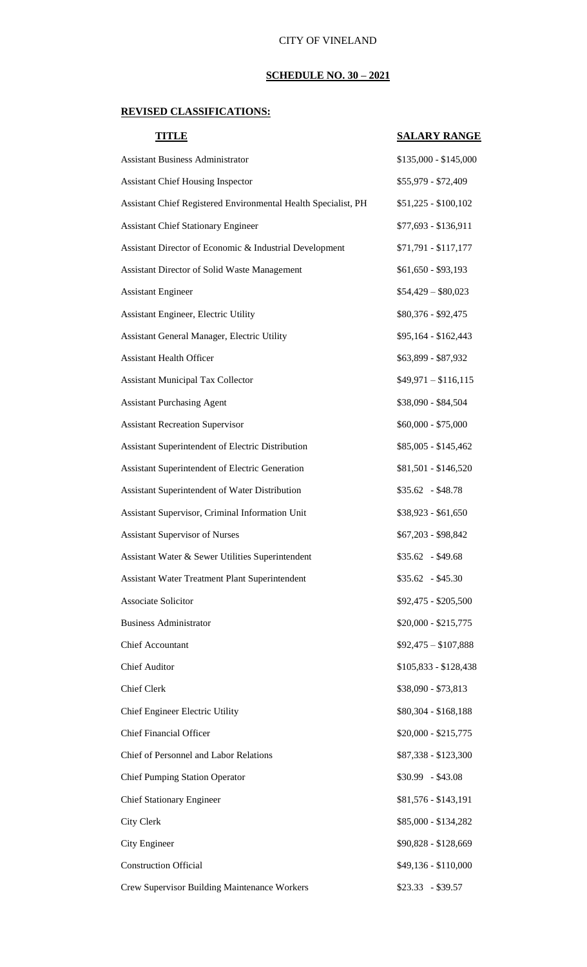## **SCHEDULE NO. 30 – 2021**

# **REVISED CLASSIFICATIONS:**

| <b>TITLE</b>                                                   | <b>SALARY RANGE</b>   |
|----------------------------------------------------------------|-----------------------|
| <b>Assistant Business Administrator</b>                        | \$135,000 - \$145,000 |
| <b>Assistant Chief Housing Inspector</b>                       | \$55,979 - \$72,409   |
| Assistant Chief Registered Environmental Health Specialist, PH | $$51,225 - $100,102$  |
| <b>Assistant Chief Stationary Engineer</b>                     | \$77,693 - \$136,911  |
| Assistant Director of Economic & Industrial Development        | $$71,791 - $117,177$  |
| Assistant Director of Solid Waste Management                   | $$61,650 - $93,193$   |
| <b>Assistant Engineer</b>                                      | $$54,429 - $80,023$   |
| Assistant Engineer, Electric Utility                           | \$80,376 - \$92,475   |
| Assistant General Manager, Electric Utility                    | \$95,164 - \$162,443  |
| <b>Assistant Health Officer</b>                                | \$63,899 - \$87,932   |
| <b>Assistant Municipal Tax Collector</b>                       | $$49,971 - $116,115$  |
| <b>Assistant Purchasing Agent</b>                              | \$38,090 - \$84,504   |
| <b>Assistant Recreation Supervisor</b>                         | $$60,000 - $75,000$   |
| Assistant Superintendent of Electric Distribution              | \$85,005 - \$145,462  |
| Assistant Superintendent of Electric Generation                | \$81,501 - \$146,520  |
| Assistant Superintendent of Water Distribution                 | $$35.62$ - \$48.78    |
| Assistant Supervisor, Criminal Information Unit                | \$38,923 - \$61,650   |
| <b>Assistant Supervisor of Nurses</b>                          | \$67,203 - \$98,842   |
| Assistant Water & Sewer Utilities Superintendent               | $$35.62$ - \$49.68    |
| <b>Assistant Water Treatment Plant Superintendent</b>          | $$35.62$ - \$45.30    |
| Associate Solicitor                                            | \$92,475 - \$205,500  |
| <b>Business Administrator</b>                                  | $$20,000 - $215,775$  |
| <b>Chief Accountant</b>                                        | $$92,475 - $107,888$  |
| <b>Chief Auditor</b>                                           | $$105,833 - $128,438$ |
| <b>Chief Clerk</b>                                             | \$38,090 - \$73,813   |
| Chief Engineer Electric Utility                                | \$80,304 - \$168,188  |
| <b>Chief Financial Officer</b>                                 | $$20,000 - $215,775$  |
| Chief of Personnel and Labor Relations                         | \$87,338 - \$123,300  |
| <b>Chief Pumping Station Operator</b>                          | $$30.99$ - \$43.08    |
| <b>Chief Stationary Engineer</b>                               | \$81,576 - \$143,191  |
| City Clerk                                                     | \$85,000 - \$134,282  |
| City Engineer                                                  | \$90,828 - \$128,669  |
| <b>Construction Official</b>                                   | \$49,136 - \$110,000  |
| Crew Supervisor Building Maintenance Workers                   | $$23.33 - $39.57$     |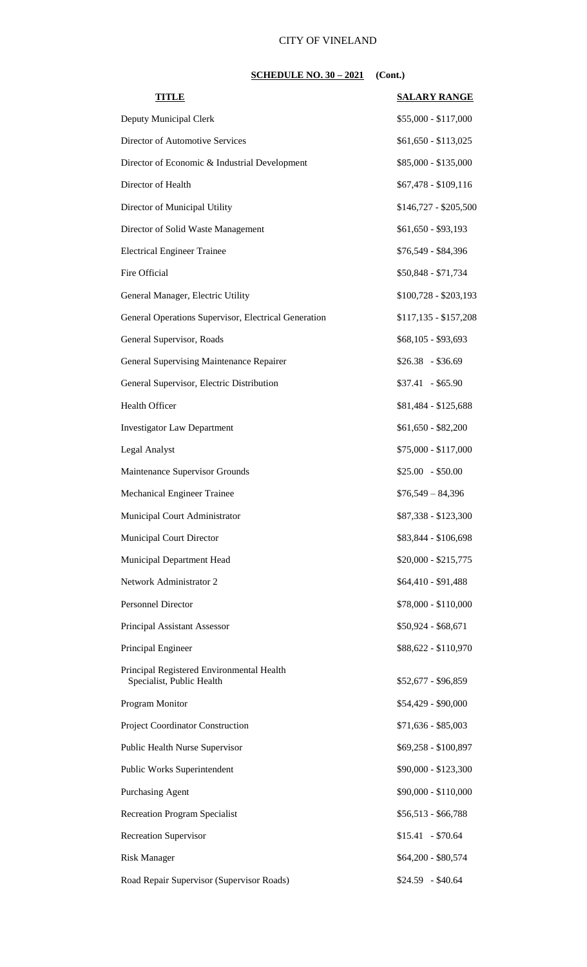## CITY OF VINELAND

## **SCHEDULE NO. 30 – 2021** (Cont.)

| TIIVLE                                                                 | <b>SALARY RANGE</b>   |
|------------------------------------------------------------------------|-----------------------|
| Deputy Municipal Clerk                                                 | $$55,000 - $117,000$  |
| Director of Automotive Services                                        | $$61,650 - $113,025$  |
| Director of Economic & Industrial Development                          | \$85,000 - \$135,000  |
| Director of Health                                                     | $$67,478 - $109,116$  |
| Director of Municipal Utility                                          | $$146,727 - $205,500$ |
| Director of Solid Waste Management                                     | $$61,650 - $93,193$   |
| <b>Electrical Engineer Trainee</b>                                     | \$76,549 - \$84,396   |
| Fire Official                                                          | \$50,848 - \$71,734   |
| General Manager, Electric Utility                                      | $$100,728 - $203,193$ |
| General Operations Supervisor, Electrical Generation                   | $$117,135 - $157,208$ |
| General Supervisor, Roads                                              | $$68,105 - $93,693$   |
| General Supervising Maintenance Repairer                               | $$26.38 - $36.69$     |
| General Supervisor, Electric Distribution                              | $$37.41 - $65.90$     |
| Health Officer                                                         | \$81,484 - \$125,688  |
| <b>Investigator Law Department</b>                                     | $$61,650 - $82,200$   |
| Legal Analyst                                                          | $$75,000 - $117,000$  |
| Maintenance Supervisor Grounds                                         | $$25.00 - $50.00$     |
| Mechanical Engineer Trainee                                            | $$76,549 - 84,396$    |
| Municipal Court Administrator                                          | \$87,338 - \$123,300  |
| <b>Municipal Court Director</b>                                        | \$83,844 - \$106,698  |
| Municipal Department Head                                              | $$20,000 - $215,775$  |
| Network Administrator 2                                                | \$64,410 - \$91,488   |
| Personnel Director                                                     | \$78,000 - \$110,000  |
| Principal Assistant Assessor                                           | $$50,924 - $68,671$   |
| Principal Engineer                                                     | \$88,622 - \$110,970  |
| Principal Registered Environmental Health<br>Specialist, Public Health | \$52,677 - \$96,859   |
| Program Monitor                                                        | \$54,429 - \$90,000   |
| Project Coordinator Construction                                       | $$71,636 - $85,003$   |
| Public Health Nurse Supervisor                                         | \$69,258 - \$100,897  |
| Public Works Superintendent                                            | \$90,000 - \$123,300  |
| Purchasing Agent                                                       | \$90,000 - \$110,000  |
| <b>Recreation Program Specialist</b>                                   | $$56,513 - $66,788$   |
| <b>Recreation Supervisor</b>                                           | $$15.41$ - \$70.64    |
| <b>Risk Manager</b>                                                    | \$64,200 - \$80,574   |
| Road Repair Supervisor (Supervisor Roads)                              | $$24.59$ - \$40.64    |